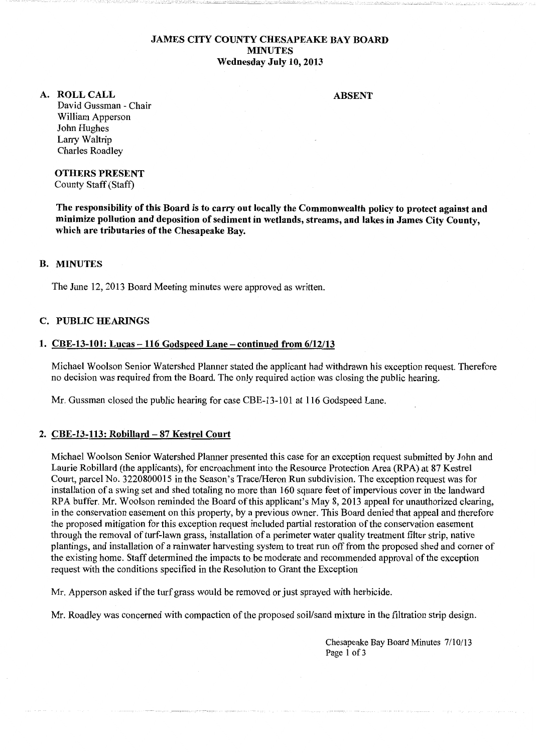### JAMES CITY COUNTY CHESAPEAKE BAY BOARD MINUTES Wednesday July 10, 2013

ABSENT

A. ROLLCALL David Gussman - Chair William Apperson John Hughes Larry Waltrip Charles Roadley

> OTHERS PRESENT County Staff (Staff)

The responsibility of this Board is to carry out locally the Commonwealth policy to protect against and minimize pollution and deposition of sediment in wetlands, streams, and lakes in James City County, which are tributaries of the Chesapeake Bay.

### B. MINUTES

The June 12, 2013 Board Meeting minutes were approved as written.

#### C. PUBLIC HEARINGS

### 1. CBE-13-101: Lucas -116 Godspeed Lane- continued from 6/12/13

Michael Woolson Senior Watershed Planner stated the applicant had withdrawn his exception request. Therefore no decision was required from the Board. The only required action was closing the public hearing.

Mr. Gussman closed the public hearing for case CBE-13-101 at 116 Godspeed Lane.

#### 2. CBE-13-113: Robillard- 87 Kestrel Court

Michael Woolson Senior Watershed Planner presented this case for an exception request submitted by John and Laurie Robillard (the applicants), for encroachment into the Resource Protection Area (RPA) at 87 Kestrel Court, parcel No. 3220800015 in the Season's Trace/Heron Run subdivision. The exception request was for installation of a swing set and shed totaling no more than 160 square feet of impervious cover in the landward RPA buffer. Mr. Woolson reminded the Board of this applicant's May 8, 2013 appeal for unauthorized clearing, in the conservation easement on this property, by a previous owner. This Board denied that appeal and therefore the proposed mitigation for this exception request included partial restoration of the conservation easement through the removal of turf-lawn grass, installation of a perimeter water quality treatment filter strip, native plantings, and installation of a rainwater harvesting system to treat run off from the proposed shed and comer of the existing home. Staff determined the impacts to be moderate and recommended approval of the exception request with the conditions specified in the Resolution to Grant the Exception

Mr. Apperson asked if the turf grass would be removed or just sprayed with herbicide.

Mr. Roadley was concerned with compaction of the proposed soil/sand mixture in the filtration strip design.

Chesapeake Bay Board Minutes 7/10/13 Page 1 of 3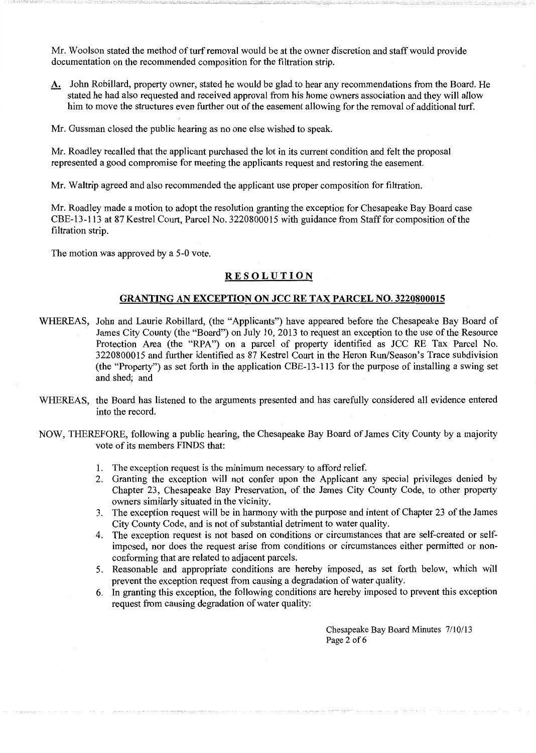Mr. Woolson stated the method of turf removal would be at the owner discretion and staff would provide documentation on the recommended composition for the filtration strip.

- A. John Robillard, property owner, stated he would be glad to hear any recommendations from the Board. He stated he had also requested and received approval from his home owners association and they will allow him to move the structures even further out of the easement allowing for the removal of additional turf.
- Mr. Gussman closed the public hearing as no one else wished to speak.

Mr. Roadley recalled that the applicant purchased the lot in its current condition and felt the proposal represented a good compromise for meeting the applicants request and restoring the easement.

Mr. Waltrip agreed and also recommended the applicant use proper composition for filtration.

Mr. Roadley made a motion to adopt the resolution granting the exception for Chesapeake Bay Board case CBE-13-113 at 87 Kestrel Court, Parcel No. 3220800015 with guidance from Staff for composition of the filtration strip.

The motion was approved by a 5-0 vote.

### **RESOLUTION**

# GRANTING AN EXCEPTION ON JCC RE TAX PARCEL NO. 3220800015

- WHEREAS, John and Laurie Robillard, (the "Applicants") have appeared before the Chesapeake Bay Board of James City County (the "Board") on July 10, 2013 to request an exception to the use of the Resource Protection Area (the "RPA") on a parcel of property identified as JCC RE Tax Parcel No. 3220800015 and further identified as 87 Kestrel Court in the Heron Run/Season's Trace subdivision (the "Property") as set forth in the application CBE-13-113 for the purpose of installing a swing set and shed; and
- WHEREAS, the Board has listened to the arguments presented and has carefully considered all evidence entered into the record.
- NOW, THEREFORE, following a public hearing, the Chesapeake Bay Board of James City County by a majority vote of its members FINDS that:
	- 1. The exception request is the minimum necessary to afford relief.
	- 2. Granting the exception will not confer upon the Applicant any special privileges denied by Chapter 23, Chesapeake Bay Preservation, of the James City County Code, to other property owners similarly situated in the vicinity.
	- 3. The exception request will be in harmony with the purpose and intent of Chapter 23 of the James City County Code, and is not of substantial detriment to water quality.
	- 4. The exception request is not based on conditions or circumstances that are self-created or selfimposed, nor does the request arise from conditions or circumstances either permitted or nonconforming that are related to adjacent parcels.
	- 5. Reasonable and appropriate conditions are hereby imposed, as set forth below, which will prevent the exception request from causing a degradation of water quality.
	- 6. In granting this exception, the following conditions are hereby imposed to prevent this exception request from causing degradation of water quality:

Chesapeake Bay Board Minutes 7/10/13 Page 2 of 6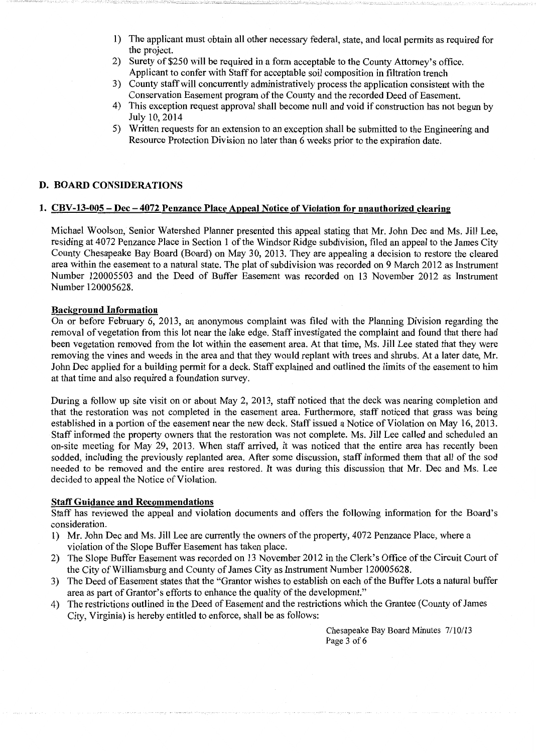- 1) The applicant must obtain all other necessary federal, state, and local permits as required for the project.
- 2) Surety of \$250 will be required in a form acceptable to the County Attorney's office. Applicant to confer with Staff for acceptable soil composition in filtration trench
- 3) County staff will concurrently administratively process the application consistent with the Conservation Easement program of the County and the recorded Deed of Easement.
- 4) This exception request approval shall become null and void if construction has not begun by July 10, 2014
- 5) Written requests for an extension to an exception shall be submitted to the Engineering and Resource Protection Division no later than 6 weeks prior to the expiration date.

# **D. BOARD CONSIDERATIONS**

# **1. CBV-13-005- Dec- 4072 Penzance Place Appeal Notice of Violation for unauthorized clearing**

Michael Woolson, Senior Watershed Planner presented this appeal stating that Mr. John Dec and Ms. Jill Lee, residing at 4072 Penzance Place in Section 1 of the Windsor Ridge subdivision, filed an appeal to the James City County Chesapeake Bay Board (Board) on May 30, 2013. They are appealing a decision to restore the cleared area within the easement to a natural state. The plat of subdivision was recorded on 9 March 2012 as Instrument Number 120005503 and the Deed of Buffer Easement was recorded on 13 November 2012 as Instrument Number 120005628.

### **Background Information**

On or before February 6, 2013, an anonymous complaint was filed with the Planning Division regarding the removal of vegetation from this lot near the lake edge. Staff investigated the complaint and found that there had been vegetation removed from the lot within the easement area. At that time, Ms. Jill Lee stated that they were removing the vines and weeds in the area and that they would replant with trees and shrubs. At a later date, Mr. John Dec applied for a building permit for a deck. Staff explained and outlined the limits of the easement to him at that time and also required a foundation survey.

During a follow up site visit on or about May 2, 2013, staff noticed that the deck was nearing completion and that the restoration was not completed in the easement area. Furthermore, staff noticed that grass was being established in a portion of the easement near the new deck. Staff issued a Notice of Violation on May 16, 2013. Staff informed the property owners that the restoration was not complete. Ms. Jill Lee called and scheduled an on-site meeting for May 29, 2013. When staff arrived, it was noticed that the entire area has recently been sodded, including the previously replanted area. After some discussion, staff informed them that all of the sod needed to be removed and the entire area restored. It was during this discussion that Mr. Dec and Ms. Lee decided to appeal the Notice of Violation.

#### **Staff Guidance and Recommendations**

Staff has reviewed the appeal and violation documents and offers the following information for the Board's consideration.

- 1) Mr. John Dec and Ms. Jill Lee are currently the owners of the property, 4072 Penzance Place, where a violation of the Slope Buffer Easement has taken place.
- 2) The Slope Buffer Easement was recorded on 13 November 2012 in the Clerk's Office of the Circuit Court of the City of Williamsburg and County of James City as Instrument Number 120005628.
- 3) The Deed of Easement states that the "Grantor wishes to establish on each of the Buffer Lots a natural buffer area as part of Grantor's efforts to enhance the quality of the development."
- 4) The restrictions outlined in the Deed of Easement and the restrictions which the Grantee (County of James City, Virginia) is hereby entitled to enforce, shall be as follows:

Chesapeake Bay Board Minutes 7/10/13 Page 3 of 6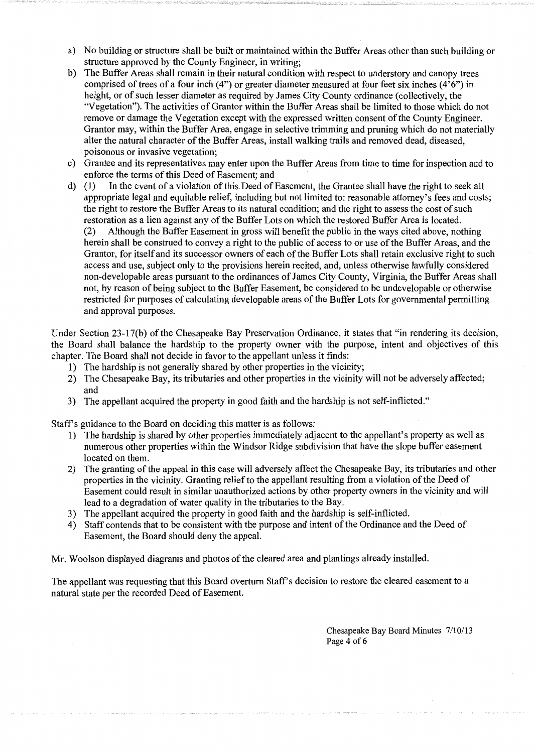- a) No building or structure shall be built or maintained within the Buffer Areas other than such building or structure approved by the County Engineer, in writing;
- b) The Buffer Areas shall remain in their natural condition with respect to understory and canopy trees comprised of trees of a four inch  $(4)$ ") or greater diameter measured at four feet six inches  $(4'6")$  in height, or of such lesser diameter as required by James City County ordinance (collectively, the "Vegetation"). The activities of Grantor within the Buffer Areas shall be limited to those which do not remove or damage the Vegetation except with the expressed written consent of the County Engineer. Grantor may, within the Buffer Area, engage in selective trimming and pruning which do not materially alter the natural character of the Buffer Areas, install walking trails and removed dead, diseased, poisonous or invasive vegetation;
- c) Grantee and its representatives may enter upon the Buffer Areas from time to time for inspection and to enforce the terms of this Deed of Easement; and
- d) (1) In the event of a violation of this Deed of Easement, the Grantee shall have the right to seek all appropriate legal and equitable relief, including but not limited to: reasonable attorney's fees and costs; the right to restore the Buffer Areas to its natural condition; and the right to assess the cost of such restoration as a lien against any of the Buffer Lots on which the restored Buffer Area is located. (2) Although the Buffer Easement in gross will benefit the public in the ways cited above, nothing herein shall be construed to convey a right to the public of access to or use of the Buffer Areas, and the Grantor, for itself and its successor owners of each of the Buffer Lots shall retain exclusive right to such access and use, subject only to the provisions herein recited, and, unless otherwise lawfully considered non-developable areas pursuant to the ordinances of James City County, Virginia, the Buffer Areas shall not, by reason of being subject to the Buffer Easement, be considered to be undevelopable or otherwise restricted for purposes of calculating developable areas of the Buffer Lots for governmental permitting and approval purposes.

Under Section 23-17(b) of the Chesapeake Bay Preservation Ordinance, it states that "in rendering its decision, the Board shall balance the hardship to the property owner with the purpose, intent and objectives of this chapter. The Board shall not decide in favor to the appellant unless it finds:

- 1) The hardship is not generally shared by other properties in the vicinity;
- 2) The Chesapeake Bay, its tributaries and other properties in the vicinity will not be adversely affected; and
- 3) The appellant acquired the property in good faith and the hardship is not self-inflicted."

Staff's guidance to the Board on deciding this matter is as follows:

- 1) The hardship is shared by other properties immediately adjacent to the appellant's property as well as numerous other properties within the Windsor Ridge subdivision that have the slope buffer easement located on them.
- 2) The granting of the appeal in this case will adversely affect the Chesapeake Bay, its tributaries and other properties in the vicinity. Granting relief to the appellant resulting from a violation of the Deed of Easement could result in similar unauthorized actions by other property owners in the vicinity and will lead to a degradation of water quality in the tributaries to the Bay.
- 3) The appellant acquired the property in good faith and the hardship is self-inflicted.
- 4) Staff contends that to be consistent with the purpose and intent of the Ordinance and the Deed of Easement, the Board should deny the appeal.

Mr. Woolson displayed diagrams and photos of the cleared area and plantings already installed.

The appellant was requesting that this Board overturn Staff's decision to restore the cleared easement to a natural state per the recorded Deed of Easement.

> Chesapeake Bay Board Minutes 7/10/13 Page 4 of 6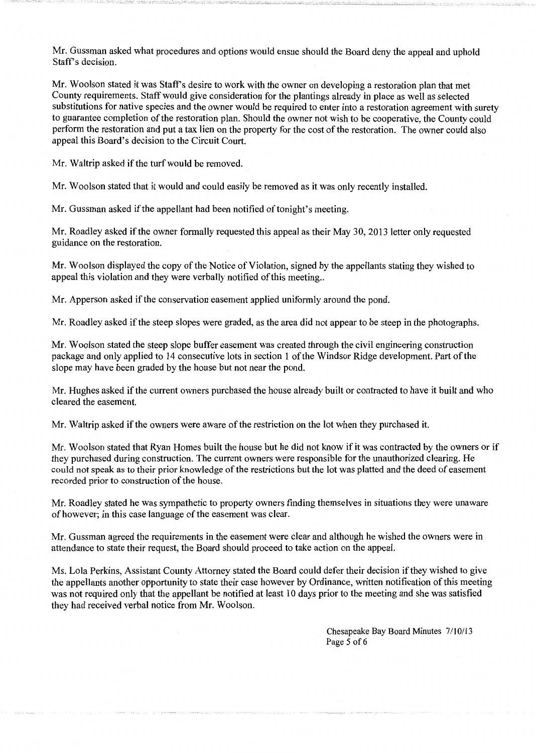Mr. Gussman asked what procedures and options would ensue should the Board deny the appeal and uphold Staff's decision.

Mr. Woolson stated it was Staff's desire to work with the owner on developing a restoration plan that met County requirements. Staff would give consideration for the plantings already in place as well as selected substitutions for native species and the owner would be required to enter into a restoration agreement with surety to guarantee completion of the restoration plan. Should the owner not wish to be cooperative, the County could perform the restoration and put a tax lien on the property for the cost of the restoration. The owner could also appeal this Board's decision to the Circuit Court.

Mr. Waltrip asked if the turf would be removed.

Mr. Woolson stated that it would and could easily be removed as it was only recently installed.

Mr. Gussman asked if the appellant had been notified of tonight's meeting.

Mr. Roadley asked if the owner formally requested this appeal as their May 30, 2013 letter only requested guidance on the restoration.

Mr. Woolson displayed the copy of the Notice of Violation, signed by the appellants stating they wished to appeal this violation and they were verbally notified of this meeting...

Mr. Apperson asked if the conservation easement applied uniformly around the pond.

Mr. Roadley asked if the steep slopes were graded, as the area did not appear to be steep in the photographs.

Mr. Woolson stated the steep slope buffer easement was created through the civil engineering construction package and only applied to 14 consecutive lots in section 1 of the Windsor Ridge development. Part of the slope may have been graded by the house but not near the pond.

Mr. Hughes asked if the current owners purchased the house already built or contracted to have it built and who cleared the easement.

Mr. Waltrip asked if the owners were aware of the restriction on the lot when they purchased it.

Mr. Woolson stated that Ryan Homes built the house but he did not know if it was contracted by the owners or if they purchased during construction. The current owners were responsible for the unauthorized clearing. He could not speak as to their prior knowledge of the restrictions but the lot was platted and the deed of easement recorded prior to construction of the house.

Mr. Roadley stated he was sympathetic to property owners finding themselves in situations they were unaware of however; in this case language of the easement was clear.

Mr. Gussman agreed the requirements in the easement were clear and although he wished the owners were in attendance to state their request, the Board should proceed to take action on the appeal.

Ms. Lola Perkins, Assistant County Attorney stated the Board could defer their decision if they wished to give the appellants another opportunity to state their case however by Ordinance, written notification of this meeting was not required only that the appellant be notified at least 10 days prior to the meeting and she was satisfied they had received verbal notice from Mr. Woolson.

> Chesapeake Bay Board Minutes 7/10/13 Page 5 of 6